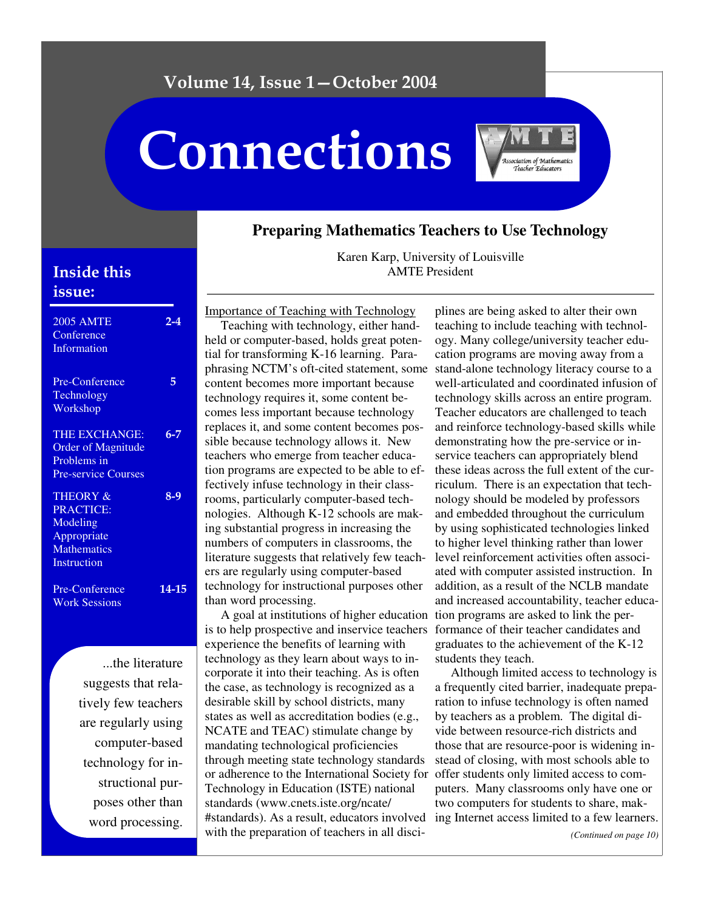# Volume 14, Issue 1 – October 2004

# Connections



## **Preparing Mathematics Teachers to Use Technology**

# **Inside this** issue:

| <b>2005 AMTE</b><br>Conference<br>Information                                                           | $2 - 4$ |
|---------------------------------------------------------------------------------------------------------|---------|
| Pre-Conference<br>Technology<br>Workshop                                                                | 5       |
| <b>THE EXCHANGE:</b><br><b>Order of Magnitude</b><br>Problems in<br><b>Pre-service Courses</b>          | $6 - 7$ |
| <b>THEORY &amp;</b><br><b>PRACTICE:</b><br>Modeling<br>Appropriate<br><b>Mathematics</b><br>Instruction | $8-9$   |
| Pre-Conference<br><b>Work Sessions</b>                                                                  | 14-15   |

...the literature suggests that relatively few teachers are regularly using computer-based technology for instructional purposes other than word processing.

Karen Karp, University of Louisville AMTE President

Importance of Teaching with Technology Teaching with technology, either handheld or computer-based, holds great potential for transforming K-16 learning. Paraphrasing NCTM's oft-cited statement, some content becomes more important because technology requires it, some content becomes less important because technology replaces it, and some content becomes possible because technology allows it. New teachers who emerge from teacher education programs are expected to be able to effectively infuse technology in their classrooms, particularly computer-based technologies. Although K-12 schools are making substantial progress in increasing the numbers of computers in classrooms, the literature suggests that relatively few teachers are regularly using computer-based technology for instructional purposes other than word processing.

A goal at institutions of higher education tion programs are asked to link the peris to help prospective and inservice teachers formance of their teacher candidates and experience the benefits of learning with technology as they learn about ways to incorporate it into their teaching. As is often the case, as technology is recognized as a desirable skill by school districts, many states as well as accreditation bodies (e.g., NCATE and TEAC) stimulate change by mandating technological proficiencies through meeting state technology standards or adherence to the International Society for offer students only limited access to com-Technology in Education (ISTE) national standards (www.cnets.iste.org/ncate/ #standards). As a result, educators involved ing Internet access limited to a few learners. with the preparation of teachers in all disci-

plines are being asked to alter their own teaching to include teaching with technology. Many college/university teacher education programs are moving away from a stand-alone technology literacy course to a well-articulated and coordinated infusion of technology skills across an entire program. Teacher educators are challenged to teach and reinforce technology-based skills while demonstrating how the pre-service or inservice teachers can appropriately blend these ideas across the full extent of the curriculum. There is an expectation that technology should be modeled by professors and embedded throughout the curriculum by using sophisticated technologies linked to higher level thinking rather than lower level reinforcement activities often associated with computer assisted instruction. In addition, as a result of the NCLB mandate and increased accountability, teacher educagraduates to the achievement of the K-12 students they teach.

Although limited access to technology is a frequently cited barrier, inadequate preparation to infuse technology is often named by teachers as a problem. The digital divide between resource-rich districts and those that are resource-poor is widening instead of closing, with most schools able to puters. Many classrooms only have one or two computers for students to share, mak-

*(Continued on page 10)*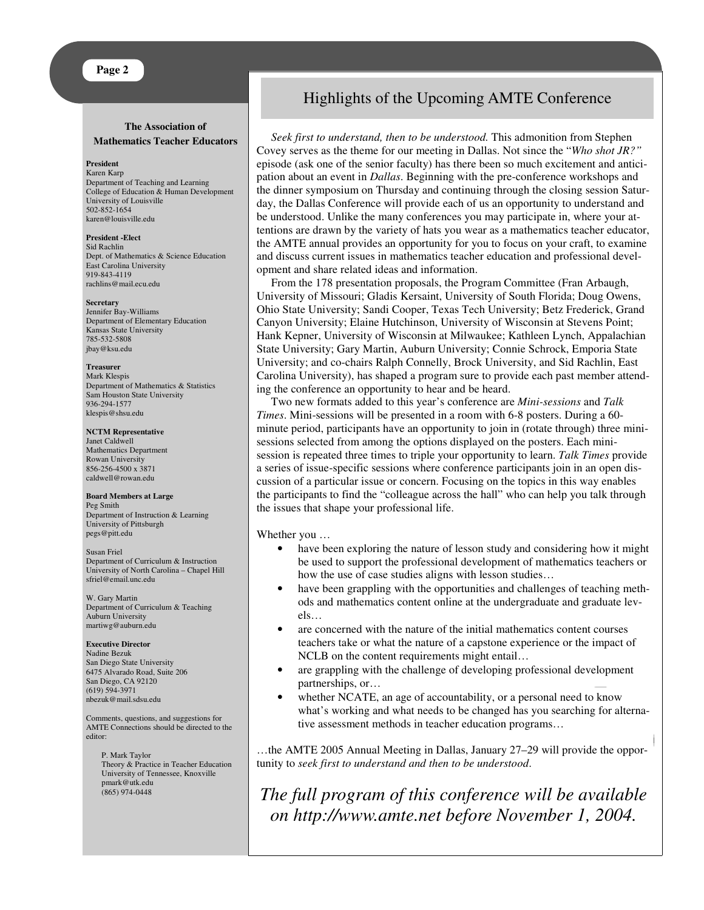#### **The Association of Mathematics Teacher Educators**

#### **President**

Karen Karp Department of Teaching and Learning College of Education & Human Development University of Louisville 502-852-1654 karen@louisville.edu

**President -Elect** Sid Rachlin Dept. of Mathematics & Science Education East Carolina University 919-843-4119 rachlins@mail.ecu.edu

#### **Secretary**

Jennifer Bay-Williams Department of Elementary Education Kansas State University 785-532-5808 jbay@ksu.edu

#### **Treasurer**

Mark Klespis Department of Mathematics & Statistics Sam Houston State University 936-294-1577 klespis@shsu.edu

#### **NCTM Representative**

Janet Caldwell Mathematics Department Rowan University 856-256-4500 x 3871 caldwell@rowan.edu

#### **Board Members at Large**

Peg Smith Department of Instruction & Learning University of Pittsburgh pegs@pitt.edu

Susan Friel Department of Curriculum & Instruction University of North Carolina – Chapel Hill sfriel@email.unc.edu

W. Gary Martin Department of Curriculum & Teaching Auburn University martiwg@auburn.edu

#### **Executive Director**

Nadine Bezuk San Diego State University 6475 Alvarado Road, Suite 206 San Diego, CA 92120 (619) 594-3971 nbezuk@mail.sdsu.edu

Comments, questions, and suggestions for AMTE Connections should be directed to the editor:

P. Mark Taylor Theory & Practice in Teacher Education University of Tennessee, Knoxville pmark@utk.edu (865) 974-0448

## Highlights of the Upcoming AMTE Conference

*Seek first to understand, then to be understood.* This admonition from Stephen Covey serves as the theme for our meeting in Dallas. Not since the "*Who shot JR?"* episode (ask one of the senior faculty) has there been so much excitement and anticipation about an event in *Dallas*. Beginning with the pre-conference workshops and the dinner symposium on Thursday and continuing through the closing session Saturday, the Dallas Conference will provide each of us an opportunity to understand and be understood. Unlike the many conferences you may participate in, where your attentions are drawn by the variety of hats you wear as a mathematics teacher educator, the AMTE annual provides an opportunity for you to focus on your craft, to examine and discuss current issues in mathematics teacher education and professional development and share related ideas and information.

From the 178 presentation proposals, the Program Committee (Fran Arbaugh, University of Missouri; Gladis Kersaint, University of South Florida; Doug Owens, Ohio State University; Sandi Cooper, Texas Tech University; Betz Frederick, Grand Canyon University; Elaine Hutchinson, University of Wisconsin at Stevens Point; Hank Kepner, University of Wisconsin at Milwaukee; Kathleen Lynch, Appalachian State University; Gary Martin, Auburn University; Connie Schrock, Emporia State University; and co-chairs Ralph Connelly, Brock University, and Sid Rachlin, East Carolina University), has shaped a program sure to provide each past member attending the conference an opportunity to hear and be heard.

Two new formats added to this year's conference are *Mini-sessions* and *Talk Times*. Mini-sessions will be presented in a room with 6-8 posters. During a 60 minute period, participants have an opportunity to join in (rotate through) three minisessions selected from among the options displayed on the posters. Each minisession is repeated three times to triple your opportunity to learn. *Talk Times* provide a series of issue-specific sessions where conference participants join in an open discussion of a particular issue or concern. Focusing on the topics in this way enables the participants to find the "colleague across the hall" who can help you talk through the issues that shape your professional life.

Whether you …

- have been exploring the nature of lesson study and considering how it might be used to support the professional development of mathematics teachers or how the use of case studies aligns with lesson studies…
- have been grappling with the opportunities and challenges of teaching methods and mathematics content online at the undergraduate and graduate levels…
- are concerned with the nature of the initial mathematics content courses teachers take or what the nature of a capstone experience or the impact of NCLB on the content requirements might entail…
- are grappling with the challenge of developing professional development partnerships, or…
- whether NCATE, an age of accountability, or a personal need to know what's working and what needs to be changed has you searching for alternative assessment methods in teacher education programs…

…the AMTE 2005 Annual Meeting in Dallas, January 27–29 will provide the opportunity to *seek first to understand and then to be understood*.

-  *The full program of this conference will be available*  - *on http://www.amte.net before November 1, 2004.*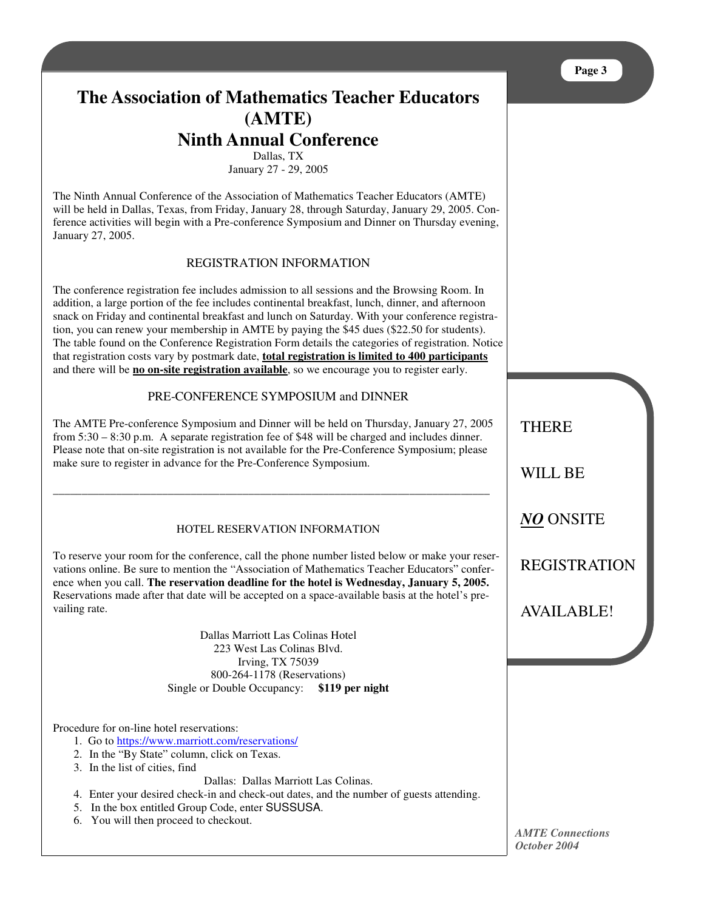# **The Association of Mathematics Teacher Educators (AMTE) Ninth Annual Conference**

Dallas, TX

January 27 - 29, 2005

The Ninth Annual Conference of the Association of Mathematics Teacher Educators (AMTE) will be held in Dallas, Texas, from Friday, January 28, through Saturday, January 29, 2005. Conference activities will begin with a Pre-conference Symposium and Dinner on Thursday evening, January 27, 2005.

## REGISTRATION INFORMATION

The conference registration fee includes admission to all sessions and the Browsing Room. In addition, a large portion of the fee includes continental breakfast, lunch, dinner, and afternoon snack on Friday and continental breakfast and lunch on Saturday. With your conference registration, you can renew your membership in AMTE by paying the \$45 dues (\$22.50 for students). The table found on the Conference Registration Form details the categories of registration. Notice that registration costs vary by postmark date, **total registration is limited to 400 participants** and there will be **no on-site registration available**, so we encourage you to register early.

#### PRE-CONFERENCE SYMPOSIUM and DINNER

The AMTE Pre-conference Symposium and Dinner will be held on Thursday, January 27, 2005 from 5:30 – 8:30 p.m. A separate registration fee of \$48 will be charged and includes dinner. Please note that on-site registration is not available for the Pre-Conference Symposium; please make sure to register in advance for the Pre-Conference Symposium.

\_\_\_\_\_\_\_\_\_\_\_\_\_\_\_\_\_\_\_\_\_\_\_\_\_\_\_\_\_\_\_\_\_\_\_\_\_\_\_\_\_\_\_\_\_\_\_\_\_\_\_\_\_\_\_\_\_\_\_\_\_\_\_\_\_\_\_\_\_\_\_\_\_\_\_\_

## HOTEL RESERVATION INFORMATION

To reserve your room for the conference, call the phone number listed below or make your reservations online. Be sure to mention the "Association of Mathematics Teacher Educators" conference when you call. **The reservation deadline for the hotel is Wednesday, January 5, 2005.** Reservations made after that date will be accepted on a space-available basis at the hotel's prevailing rate.

> Dallas Marriott Las Colinas Hotel 223 West Las Colinas Blvd. Irving, TX 75039 800-264-1178 (Reservations) Single or Double Occupancy: **\$119 per night**

Procedure for on-line hotel reservations:

- 1. Go to https://www.marriott.com/reservations/
- 2. In the "By State" column, click on Texas.
- 3. In the list of cities, find

Dallas: Dallas Marriott Las Colinas.

- 4. Enter your desired check-in and check-out dates, and the number of guests attending.
- 5. In the box entitled Group Code, enter SUSSUSA.
- 6. You will then proceed to checkout.

**THERE** 

WILL BE

*NO* ONSITE

REGISTRATION

AVAILABLE!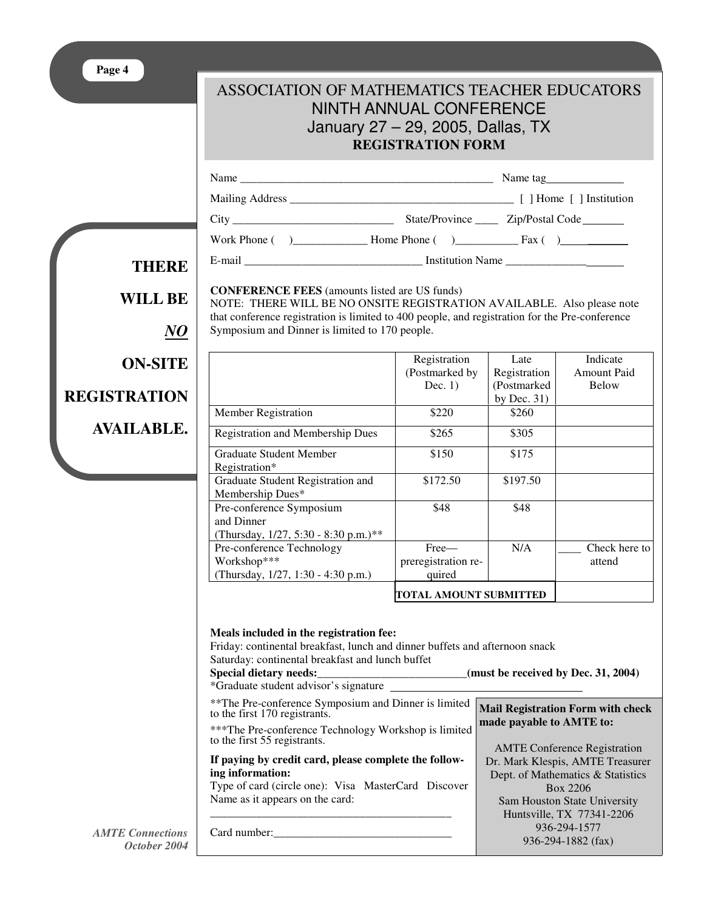|      | ASSOCIATION OF MATHEMATICS TEACHER EDUCATORS<br>NINTH ANNUAL CONFERENCE<br>January 27 – 29, 2005, Dallas, TX<br><b>REGISTRATION FORM</b> |  |
|------|------------------------------------------------------------------------------------------------------------------------------------------|--|
| Name | Name tag                                                                                                                                 |  |

Mailing Address \_\_\_\_\_\_\_\_\_\_\_\_\_\_\_\_\_\_\_\_\_\_\_\_\_\_\_\_\_\_\_\_\_\_\_\_\_\_\_ [ ] Home [ ] Institution City \_\_\_\_\_\_\_\_\_\_\_\_\_\_\_\_\_\_\_\_\_\_\_\_\_\_\_\_ State/Province \_\_\_\_ Zip/Postal Code Work Phone ( )\_\_\_\_\_\_\_\_\_\_\_\_\_ Home Phone ( )\_\_\_\_\_\_\_\_\_\_\_ Fax ( ) \_\_\_\_\_\_\_ E-mail \_\_\_\_\_\_\_\_\_\_\_\_\_\_\_\_\_\_\_\_\_\_\_\_\_\_\_\_\_\_\_ Institution Name \_\_\_\_\_\_\_\_\_\_\_\_\_\_

**THERE WILL BE** *NO* **ON-SITE REGISTRATION AVAILABLE.**

**CONFERENCE FEES** (amounts listed are US funds)

NOTE: THERE WILL BE NO ONSITE REGISTRATION AVAILABLE. Also please note that conference registration is limited to 400 people, and registration for the Pre-conference Symposium and Dinner is limited to 170 people.

|                                                                                | Registration<br>(Postmarked by)        | Late<br>Registration          | Indicate<br>Amount Paid |
|--------------------------------------------------------------------------------|----------------------------------------|-------------------------------|-------------------------|
|                                                                                | Dec. $1)$                              | (Postmarked)<br>by Dec. $31)$ | Below                   |
| Member Registration                                                            | \$220                                  | \$260                         |                         |
| <b>Registration and Membership Dues</b>                                        | \$265                                  | \$305                         |                         |
| Graduate Student Member<br>Registration*                                       | \$150                                  | \$175                         |                         |
| Graduate Student Registration and<br>Membership Dues*                          | \$172.50                               | \$197.50                      |                         |
| Pre-conference Symposium<br>and Dinner<br>(Thursday, 1/27, 5:30 - 8:30 p.m.)** | \$48                                   | \$48                          |                         |
| Pre-conference Technology<br>Workshop***<br>(Thursday, 1/27, 1:30 - 4:30 p.m.) | Free—<br>preregistration re-<br>quired | N/A                           | Check here to<br>attend |
|                                                                                | TOTAL AMOUNT SUBMITTED                 |                               |                         |

#### **Meals included in the registration fee:** Friday: continental breakfast, lunch and dinner buffets and afternoon snack Saturday: continental breakfast and lunch buffet **Special dietary needs:\_\_\_\_\_\_\_\_\_\_\_\_\_\_\_\_\_\_\_\_\_\_\_\_\_\_(must be received by Dec. 31, 2004)** \*Graduate student advisor's signature \*\*The Pre-conference Symposium and Dinner is limited to the first 170 registrants. \*\*\*The Pre-conference Technology Workshop is limited to the first 55 registrants. **If paying by credit card, please complete the following information:** Type of card (circle one): Visa MasterCard Discover Name as it appears on the card: \_\_\_\_\_\_\_\_\_\_\_\_\_\_\_\_\_\_\_\_\_\_\_\_\_\_\_\_\_\_\_\_\_\_\_\_\_\_\_\_\_\_ Card number:\_\_\_\_\_\_\_\_\_\_\_\_\_\_\_\_\_\_\_\_\_\_\_\_\_\_\_\_\_\_\_ **Mail Registration Form with check made payable to AMTE to:** AMTE Conference Registration Dr. Mark Klespis, AMTE Treasurer Dept. of Mathematics & Statistics Box 2206 Sam Houston State University Huntsville, TX 77341-2206 936-294-1577

936-294-1882 (fax)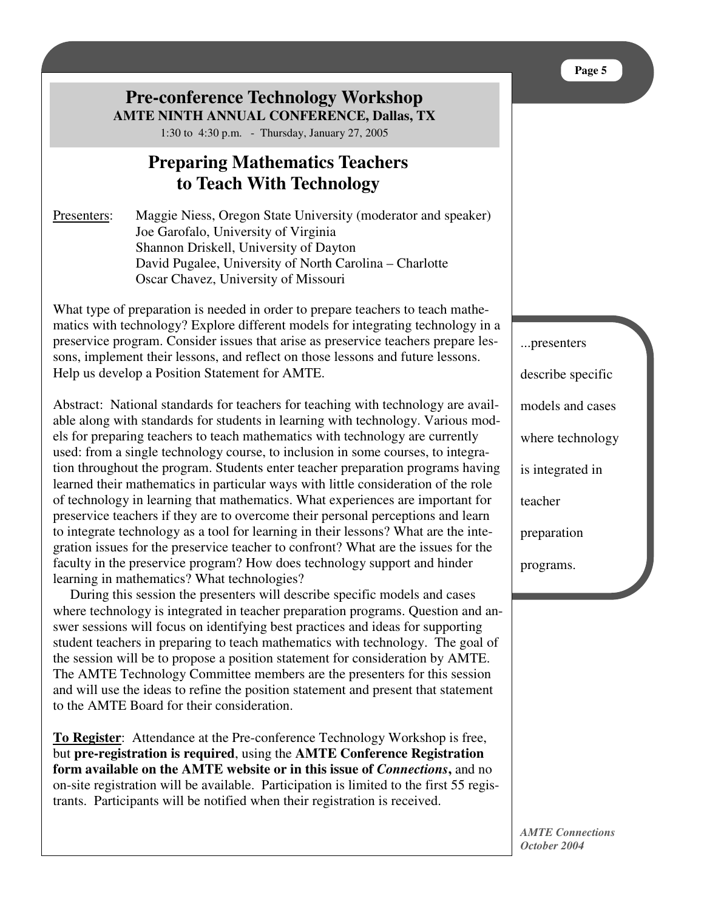# **Pre-conference Technology Workshop AMTE NINTH ANNUAL CONFERENCE, Dallas, TX**

1:30 to 4:30 p.m. - Thursday, January 27, 2005

# **Preparing Mathematics Teachers to Teach With Technology**

Presenters: Maggie Niess, Oregon State University (moderator and speaker) Joe Garofalo, University of Virginia Shannon Driskell, University of Dayton David Pugalee, University of North Carolina – Charlotte Oscar Chavez, University of Missouri

What type of preparation is needed in order to prepare teachers to teach mathematics with technology? Explore different models for integrating technology in a preservice program. Consider issues that arise as preservice teachers prepare lessons, implement their lessons, and reflect on those lessons and future lessons. Help us develop a Position Statement for AMTE.

Abstract: National standards for teachers for teaching with technology are available along with standards for students in learning with technology. Various models for preparing teachers to teach mathematics with technology are currently used: from a single technology course, to inclusion in some courses, to integration throughout the program. Students enter teacher preparation programs having learned their mathematics in particular ways with little consideration of the role of technology in learning that mathematics. What experiences are important for preservice teachers if they are to overcome their personal perceptions and learn to integrate technology as a tool for learning in their lessons? What are the integration issues for the preservice teacher to confront? What are the issues for the faculty in the preservice program? How does technology support and hinder learning in mathematics? What technologies?

During this session the presenters will describe specific models and cases where technology is integrated in teacher preparation programs. Question and answer sessions will focus on identifying best practices and ideas for supporting student teachers in preparing to teach mathematics with technology. The goal of the session will be to propose a position statement for consideration by AMTE. The AMTE Technology Committee members are the presenters for this session and will use the ideas to refine the position statement and present that statement to the AMTE Board for their consideration.

**To Register**: Attendance at the Pre-conference Technology Workshop is free, but **pre-registration is required**, using the **AMTE Conference Registration form available on the AMTE website or in this issue of** *Connections***,** and no on-site registration will be available. Participation is limited to the first 55 registrants. Participants will be notified when their registration is received.

...presenters describe specific models and cases where technology is integrated in teacher preparation programs.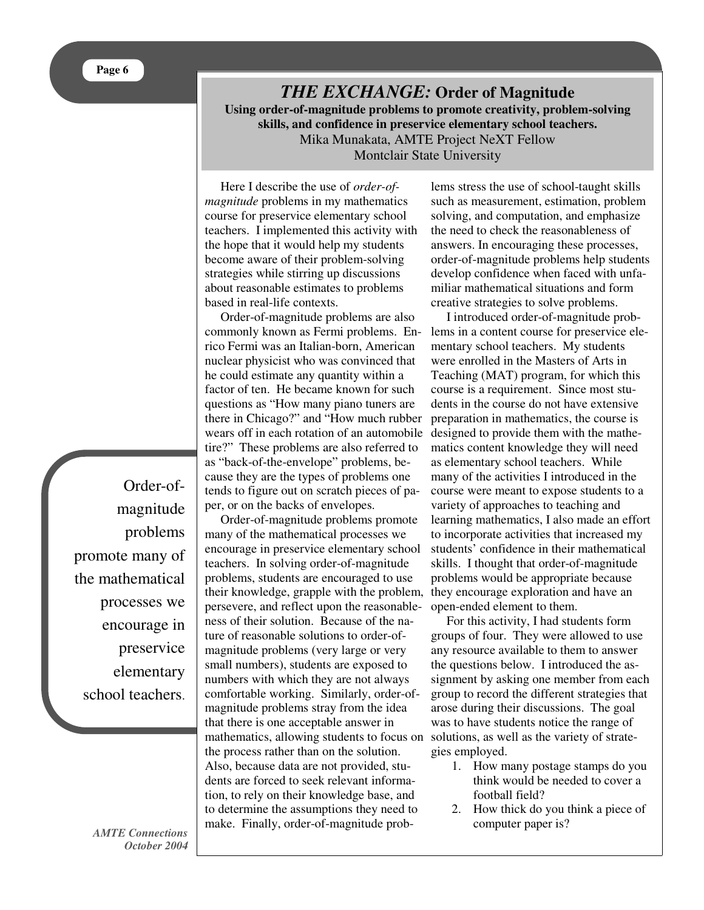## *THE EXCHANGE:* **Order of Magnitude Using order-of-magnitude problems to promote creativity, problem-solving skills, and confidence in preservice elementary school teachers.** Mika Munakata, AMTE Project NeXT Fellow Montclair State University

Here I describe the use of *order-ofmagnitude* problems in my mathematics course for preservice elementary school teachers. I implemented this activity with the hope that it would help my students become aware of their problem-solving strategies while stirring up discussions about reasonable estimates to problems based in real-life contexts.

Order-of-magnitude problems are also commonly known as Fermi problems. Enrico Fermi was an Italian-born, American nuclear physicist who was convinced that he could estimate any quantity within a factor of ten. He became known for such questions as "How many piano tuners are there in Chicago?" and "How much rubber wears off in each rotation of an automobile tire?" These problems are also referred to as "back-of-the-envelope" problems, because they are the types of problems one tends to figure out on scratch pieces of paper, or on the backs of envelopes.

Order-of-magnitude problems promote many of the mathematical processes we encourage in preservice elementary school teachers. In solving order-of-magnitude problems, students are encouraged to use their knowledge, grapple with the problem, persevere, and reflect upon the reasonableness of their solution. Because of the nature of reasonable solutions to order-ofmagnitude problems (very large or very small numbers), students are exposed to numbers with which they are not always comfortable working. Similarly, order-ofmagnitude problems stray from the idea that there is one acceptable answer in mathematics, allowing students to focus on the process rather than on the solution. Also, because data are not provided, students are forced to seek relevant information, to rely on their knowledge base, and to determine the assumptions they need to make. Finally, order-of-magnitude prob-

lems stress the use of school-taught skills such as measurement, estimation, problem solving, and computation, and emphasize the need to check the reasonableness of answers. In encouraging these processes, order-of-magnitude problems help students develop confidence when faced with unfamiliar mathematical situations and form creative strategies to solve problems.

I introduced order-of-magnitude problems in a content course for preservice elementary school teachers. My students were enrolled in the Masters of Arts in Teaching (MAT) program, for which this course is a requirement. Since most students in the course do not have extensive preparation in mathematics, the course is designed to provide them with the mathematics content knowledge they will need as elementary school teachers. While many of the activities I introduced in the course were meant to expose students to a variety of approaches to teaching and learning mathematics, I also made an effort to incorporate activities that increased my students' confidence in their mathematical skills. I thought that order-of-magnitude problems would be appropriate because they encourage exploration and have an open-ended element to them.

For this activity, I had students form groups of four. They were allowed to use any resource available to them to answer the questions below. I introduced the assignment by asking one member from each group to record the different strategies that arose during their discussions. The goal was to have students notice the range of solutions, as well as the variety of strategies employed.

- 1. How many postage stamps do you think would be needed to cover a football field?
- 2. How thick do you think a piece of computer paper is?

Order-ofmagnitude problems promote many of the mathematical processes we encourage in preservice elementary school teachers.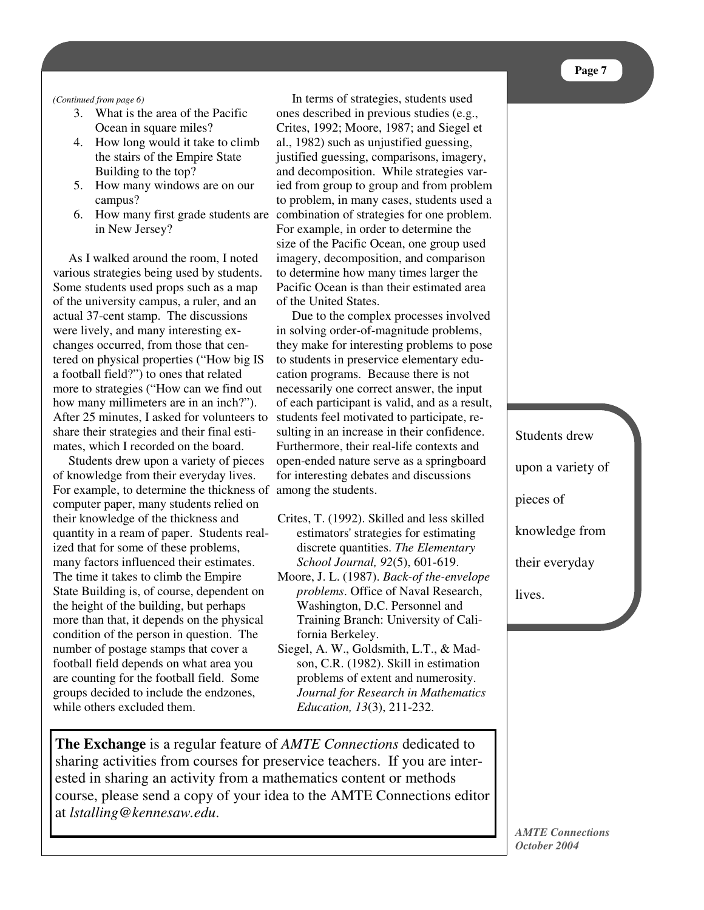#### *(Continued from page 6)*

- 3. What is the area of the Pacific Ocean in square miles?
- $\triangle$  State the stairs of the Empire State 4. How long would it take to climb Building to the top?
- $\sim$  to 5. How many windows are on our campus?
- in New Jersey?

 As I walked around the room, I noted As I wanted around the room, I hotel imagely, a various strategies being used by students. to determine Some students used props such as a map Pacific of the university campus, a ruler, and an of the actual 37-cent stamp. The discussions  a football field?") to ones that related more to strategies ("How can we find out how many millimeters are in an inch?"). After 25 minutes, I asked for volunteers to share their strategies and their final estiwere lively, and many interesting exchanges occurred, from those that centered on physical properties ("How big IS mates, which I recorded on the board.

ndzones groups decided to include the endzones, -  of knowledge from their everyday lives. For example, to determine the thickness of among the students. Students drew upon a variety of pieces computer paper, many students relied on their knowledge of the thickness and quantity in a ream of paper. Students realized that for some of these problems, many factors influenced their estimates. The time it takes to climb the Empire State Building is, of course, dependent on the height of the building, but perhaps more than that, it depends on the physical condition of the person in question. The number of postage stamps that cover a football field depends on what area you are counting for the football field. Some while others excluded them.

justified guessing, comparisons, imagery,  $rac{and  $arccos$$  ied from group to group and from problem   to problem, in many cases, students used a 
 &  6. How many first grade students are combination of strategies for one problem.    For example, in order to determine the oire of the Decitie Ocean, and crown used y students. to determine how many times larger the  )
 Pacific Ocean is than their estimated area  of the United States.  $\frac{1}{1}$ and decomposition. While strategies var-' size of the Pacific Ocean, one group used imagery, decomposition, and comparison In terms of strategies, students used ones described in previous studies (e.g., Crites, 1992; Moore, 1987; and Siegel et al., 1982) such as unjustified guessing,

Example 1 and the complex processes involved<br>the complex processes involved  $\frac{1}{2}$   $\frac{1}{2}$   $\frac{1}{2}$   $\frac{1}{2}$   $\frac{1}{2}$   $\frac{1}{2}$   $\frac{1}{2}$   $\frac{1}{2}$   $\frac{1}{2}$   $\frac{1}{2}$   $\frac{1}{2}$   $\frac{1}{2}$   $\frac{1}{2}$   $\frac{1}{2}$   $\frac{1}{2}$   $\frac{1}{2}$   $\frac{1}{2}$   $\frac{1}{2}$   $\frac{1}{2}$   $\frac{1}{2}$   $\frac{1}{2}$   $\frac{1}{2}$  they make for interesting problems to pose How big IS to students in preservice elementary edu-  cation programs. Because there is not d out necessarily one correct answer, the input  $\frac{1}{2}$  inch?"). of each participant is valid, and as a result, esti-<br>sulting in an increase in their confidence. in solving order-of-magnitude problems, students feel motivated to participate, re-Furthermore, their real-life contexts and open-ended nature serve as a springboard for interesting debates and discussions

- Crites, T. (1992). Skilled and less skilled estimators'strategies for estimating discrete quantities. *The Elementary School Journal, 92*(5), 601-619.
- Moore, J. L. (1987). *Back-of the-envelope problems*. Office of Naval Research, Washington, D.C. Personnel and Training Branch: University of California Berkeley.
- + *Journal for Research in Mathematics*  $\frac{1}{2(2)}$  0.11.000 -! *Education, 13*(3), 211-232.  $L<sub>uncon</sub>$ Siegel, A. W., Goldsmith, L.T., & Madson, C.R. (1982). Skill in estimation problems of extent and numerosity.

 $\frac{1}{2}$   $\frac{1}{2}$   $\frac{1}{2}$   $\frac{1}{2}$   $\frac{1}{2}$   $\frac{1}{2}$ chons dedicated to urses for preservice teachers. If you are inter- $_{\text{tont}}$  or mothodo 
  ested in sharing an activity from a mathematics content or methods y of your idea to the AMTE Con **The Exchange** is a regular feature of *AMTE Connections* dedicated to sharing activities from courses for preservice teachers. If you are intercourse, please send a copy of your idea to the AMTE Connections editor at *lstalling@kennesaw.edu*.

 

Students drew upon a variety of pieces of knowledge from their everyday lives.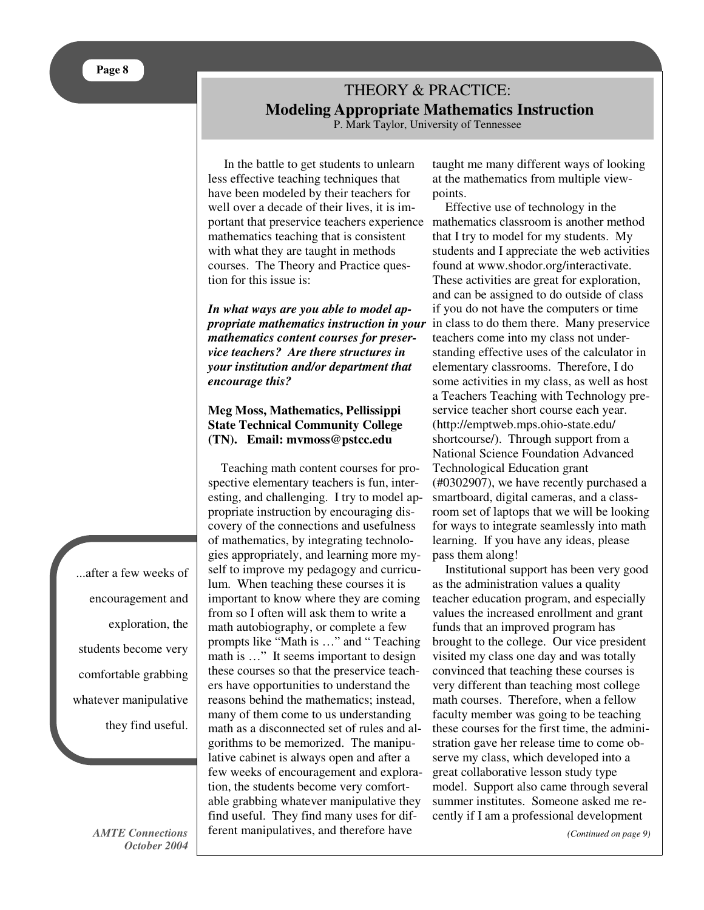# THEORY & PRACTICE: **Modeling Appropriate Mathematics Instruction**

P. Mark Taylor, University of Tennessee

In the battle to get students to unlearn less effective teaching techniques that have been modeled by their teachers for well over a decade of their lives, it is important that preservice teachers experience mathematics classroom is another method mathematics teaching that is consistent with what they are taught in methods courses. The Theory and Practice question for this issue is:

*In what ways are you able to model appropriate mathematics instruction in your mathematics content courses for preservice teachers? Are there structures in your institution and/or department that encourage this?*

## **Meg Moss, Mathematics, Pellissippi State Technical Community College (TN). Email: mvmoss@pstcc.edu**

Teaching math content courses for prospective elementary teachers is fun, interesting, and challenging. I try to model appropriate instruction by encouraging discovery of the connections and usefulness of mathematics, by integrating technologies appropriately, and learning more myself to improve my pedagogy and curriculum. When teaching these courses it is important to know where they are coming from so I often will ask them to write a math autobiography, or complete a few prompts like "Math is …" and " Teaching math is …" It seems important to design these courses so that the preservice teachers have opportunities to understand the reasons behind the mathematics; instead, many of them come to us understanding math as a disconnected set of rules and algorithms to be memorized. The manipulative cabinet is always open and after a few weeks of encouragement and exploration, the students become very comfortable grabbing whatever manipulative they find useful. They find many uses for different manipulatives, and therefore have

taught me many different ways of looking at the mathematics from multiple viewpoints.

Effective use of technology in the that I try to model for my students. My students and I appreciate the web activities found at www.shodor.org/interactivate. These activities are great for exploration, and can be assigned to do outside of class if you do not have the computers or time in class to do them there. Many preservice teachers come into my class not understanding effective uses of the calculator in elementary classrooms. Therefore, I do some activities in my class, as well as host a Teachers Teaching with Technology preservice teacher short course each year. (http://emptweb.mps.ohio-state.edu/ shortcourse/). Through support from a National Science Foundation Advanced Technological Education grant (#0302907), we have recently purchased a smartboard, digital cameras, and a classroom set of laptops that we will be looking for ways to integrate seamlessly into math learning. If you have any ideas, please pass them along!

Institutional support has been very good as the administration values a quality teacher education program, and especially values the increased enrollment and grant funds that an improved program has brought to the college. Our vice president visited my class one day and was totally convinced that teaching these courses is very different than teaching most college math courses. Therefore, when a fellow faculty member was going to be teaching these courses for the first time, the administration gave her release time to come observe my class, which developed into a great collaborative lesson study type model. Support also came through several summer institutes. Someone asked me recently if I am a professional development

*(Continued on page 9)*

...after a few weeks of encouragement and exploration, the students become very comfortable grabbing whatever manipulative they find useful.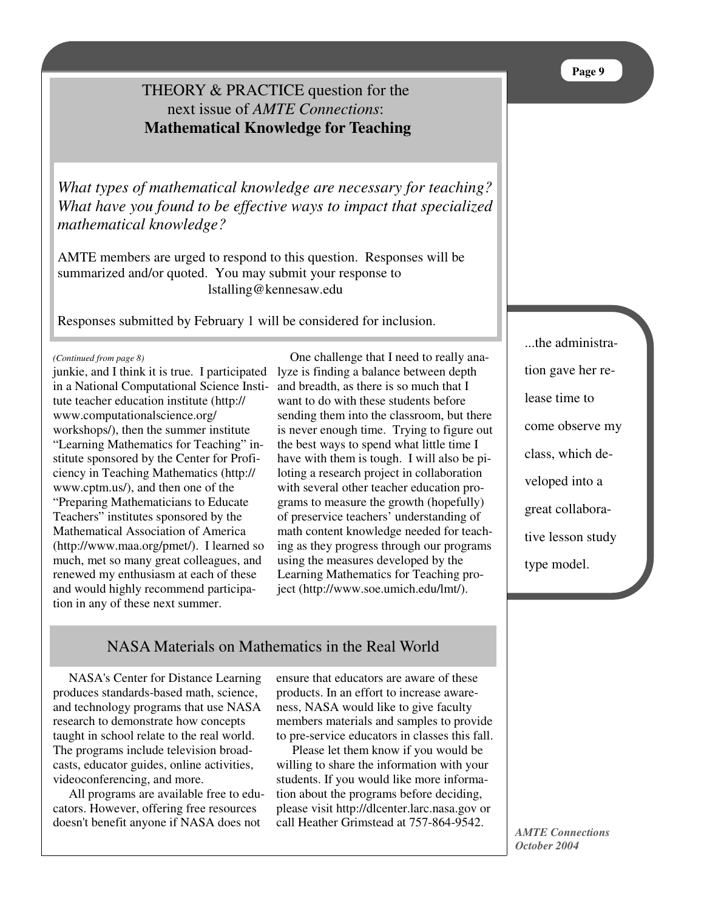# THEORY & PRACTICE question for the next issue of *AMTE Connections*: **Mathematical Knowledge for Teaching**

*What types of mathematical knowledge are necessary for teaching? What have you found to be effective ways to impact that specialized mathematical knowledge?*

AMTE members are urged to respond to this question. Responses will be summarized and/or quoted. You may submit your response to lstalling@kennesaw.edu

Responses submitted by February 1 will be considered for inclusion.

*(Continued from page 8)*

junkie, and I think it is true. I participated in a National Computational Science Institute teacher education institute (http:// www.computationalscience.org/ workshops/), then the summer institute "Learning Mathematics for Teaching" institute sponsored by the Center for Proficiency in Teaching Mathematics (http:// www.cptm.us/), and then one of the "Preparing Mathematicians to Educate Teachers" institutes sponsored by the Mathematical Association of America (http://www.maa.org/pmet/). I learned so much, met so many great colleagues, and renewed my enthusiasm at each of these and would highly recommend participation in any of these next summer.

One challenge that I need to really analyze is finding a balance between depth and breadth, as there is so much that I want to do with these students before sending them into the classroom, but there is never enough time. Trying to figure out the best ways to spend what little time I have with them is tough. I will also be piloting a research project in collaboration with several other teacher education programs to measure the growth (hopefully) of preservice teachers' understanding of math content knowledge needed for teaching as they progress through our programs using the measures developed by the Learning Mathematics for Teaching project (http://www.soe.umich.edu/lmt/).

NASA Materials on Mathematics in the Real World

NASA's Center for Distance Learning produces standards-based math, science, and technology programs that use NASA research to demonstrate how concepts taught in school relate to the real world. The programs include television broadcasts, educator guides, online activities, videoconferencing, and more.

All programs are available free to educators. However, offering free resources doesn't benefit anyone if NASA does not

ensure that educators are aware of these products. In an effort to increase awareness, NASA would like to give faculty members materials and samples to provide to pre-service educators in classes this fall.

Please let them know if you would be willing to share the information with your students. If you would like more information about the programs before deciding, please visit http://dlcenter.larc.nasa.gov or call Heather Grimstead at 757-864-9542.

...the administration gave her release time to come observe my class, which developed into a great collaborative lesson study type model.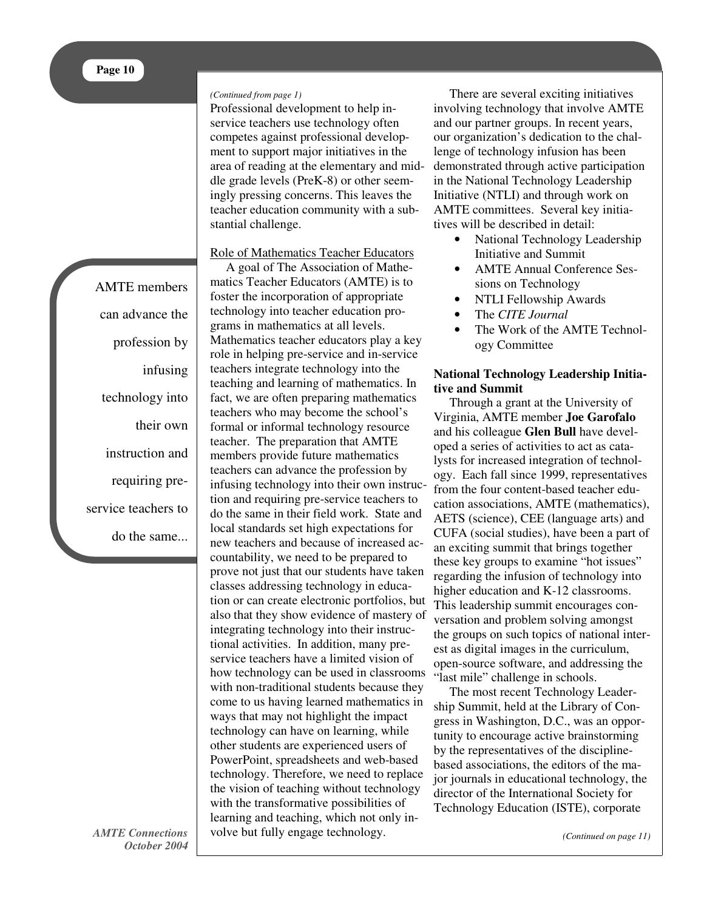#### *(Continued from page 1)*

Professional development to help inservice teachers use technology often competes against professional development to support major initiatives in the area of reading at the elementary and middle grade levels (PreK-8) or other seemingly pressing concerns. This leaves the teacher education community with a substantial challenge.

## Role of Mathematics Teacher Educators

AMTE members can advance the profession by infusing technology into their own instruction and requiring preservice teachers to do the same...

A goal of The Association of Mathematics Teacher Educators (AMTE) is to foster the incorporation of appropriate technology into teacher education programs in mathematics at all levels. Mathematics teacher educators play a key role in helping pre-service and in-service teachers integrate technology into the teaching and learning of mathematics. In fact, we are often preparing mathematics teachers who may become the school's formal or informal technology resource teacher. The preparation that AMTE members provide future mathematics teachers can advance the profession by infusing technology into their own instruction and requiring pre-service teachers to do the same in their field work. State and local standards set high expectations for new teachers and because of increased accountability, we need to be prepared to prove not just that our students have taken classes addressing technology in education or can create electronic portfolios, but also that they show evidence of mastery of integrating technology into their instructional activities. In addition, many preservice teachers have a limited vision of how technology can be used in classrooms with non-traditional students because they come to us having learned mathematics in ways that may not highlight the impact technology can have on learning, while other students are experienced users of PowerPoint, spreadsheets and web-based technology. Therefore, we need to replace the vision of teaching without technology with the transformative possibilities of learning and teaching, which not only involve but fully engage technology.

There are several exciting initiatives involving technology that involve AMTE and our partner groups. In recent years, our organization's dedication to the challenge of technology infusion has been demonstrated through active participation in the National Technology Leadership Initiative (NTLI) and through work on AMTE committees. Several key initiatives will be described in detail:

- National Technology Leadership Initiative and Summit
- AMTE Annual Conference Sessions on Technology
- NTLI Fellowship Awards
- The *CITE Journal*
- The Work of the AMTE Technology Committee

## **National Technology Leadership Initiative and Summit**

Through a grant at the University of Virginia, AMTE member **Joe Garofalo** and his colleague **Glen Bull** have developed a series of activities to act as catalysts for increased integration of technology. Each fall since 1999, representatives from the four content-based teacher education associations, AMTE (mathematics), AETS (science), CEE (language arts) and CUFA (social studies), have been a part of an exciting summit that brings together these key groups to examine "hot issues" regarding the infusion of technology into higher education and K-12 classrooms. This leadership summit encourages conversation and problem solving amongst the groups on such topics of national interest as digital images in the curriculum, open-source software, and addressing the "last mile" challenge in schools.

The most recent Technology Leadership Summit, held at the Library of Congress in Washington, D.C., was an opportunity to encourage active brainstorming by the representatives of the disciplinebased associations, the editors of the major journals in educational technology, the director of the International Society for Technology Education (ISTE), corporate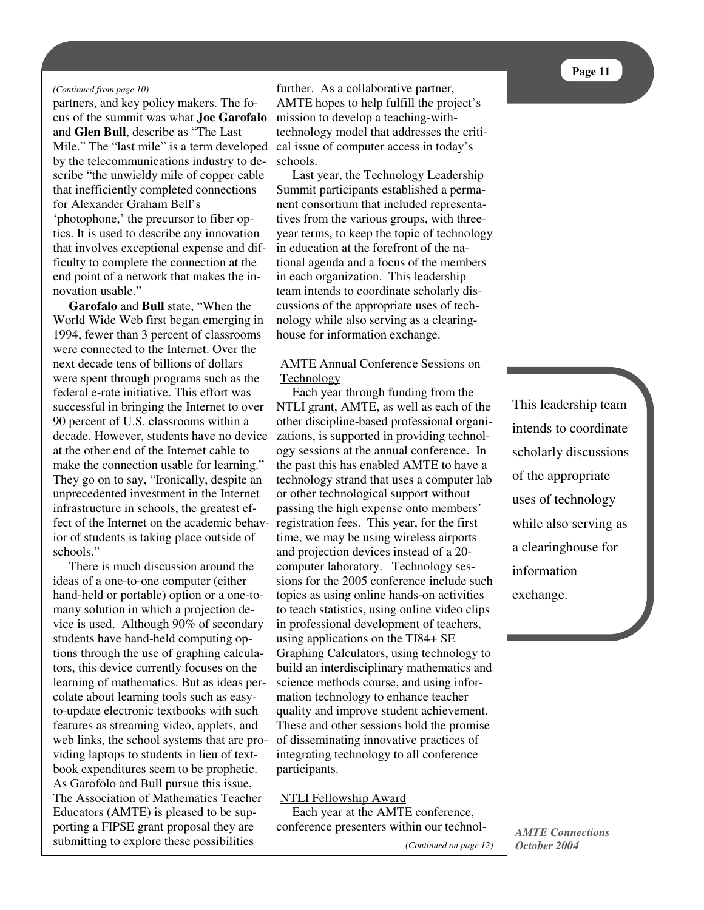#### *(Continued from page 10)*

partners, and key policy makers. The focus of the summit was what **Joe Garofalo** and **Glen Bull**, describe as "The Last Mile." The "last mile" is a term developed by the telecommunications industry to describe "the unwieldy mile of copper cable that inefficiently completed connections for Alexander Graham Bell's 'photophone,' the precursor to fiber optics. It is used to describe any innovation that involves exceptional expense and difficulty to complete the connection at the end point of a network that makes the innovation usable."

**Garofalo** and **Bull** state, "When the World Wide Web first began emerging in 1994, fewer than 3 percent of classrooms were connected to the Internet. Over the next decade tens of billions of dollars were spent through programs such as the federal e-rate initiative. This effort was successful in bringing the Internet to over 90 percent of U.S. classrooms within a decade. However, students have no device at the other end of the Internet cable to make the connection usable for learning." They go on to say, "Ironically, despite an unprecedented investment in the Internet infrastructure in schools, the greatest effect of the Internet on the academic behavior of students is taking place outside of schools."

There is much discussion around the ideas of a one-to-one computer (either hand-held or portable) option or a one-tomany solution in which a projection device is used. Although 90% of secondary students have hand-held computing options through the use of graphing calculators, this device currently focuses on the learning of mathematics. But as ideas percolate about learning tools such as easyto-update electronic textbooks with such features as streaming video, applets, and web links, the school systems that are providing laptops to students in lieu of textbook expenditures seem to be prophetic. As Garofolo and Bull pursue this issue, The Association of Mathematics Teacher Educators (AMTE) is pleased to be supporting a FIPSE grant proposal they are submitting to explore these possibilities

further. As a collaborative partner, AMTE hopes to help fulfill the project's mission to develop a teaching-withtechnology model that addresses the critical issue of computer access in today's schools.

Last year, the Technology Leadership Summit participants established a permanent consortium that included representatives from the various groups, with threeyear terms, to keep the topic of technology in education at the forefront of the national agenda and a focus of the members in each organization. This leadership team intends to coordinate scholarly discussions of the appropriate uses of technology while also serving as a clearinghouse for information exchange.

## AMTE Annual Conference Sessions on Technology

Each year through funding from the NTLI grant, AMTE, as well as each of the other discipline-based professional organizations, is supported in providing technology sessions at the annual conference. In the past this has enabled AMTE to have a technology strand that uses a computer lab or other technological support without passing the high expense onto members' registration fees. This year, for the first time, we may be using wireless airports and projection devices instead of a 20 computer laboratory. Technology sessions for the 2005 conference include such topics as using online hands-on activities to teach statistics, using online video clips in professional development of teachers, using applications on the TI84+ SE Graphing Calculators, using technology to build an interdisciplinary mathematics and science methods course, and using information technology to enhance teacher quality and improve student achievement. These and other sessions hold the promise of disseminating innovative practices of integrating technology to all conference participants.

#### NTLI Fellowship Award

Each year at the AMTE conference, conference presenters within our technolThis leadership team intends to coordinate scholarly discussions of the appropriate uses of technology while also serving as a clearinghouse for information exchange.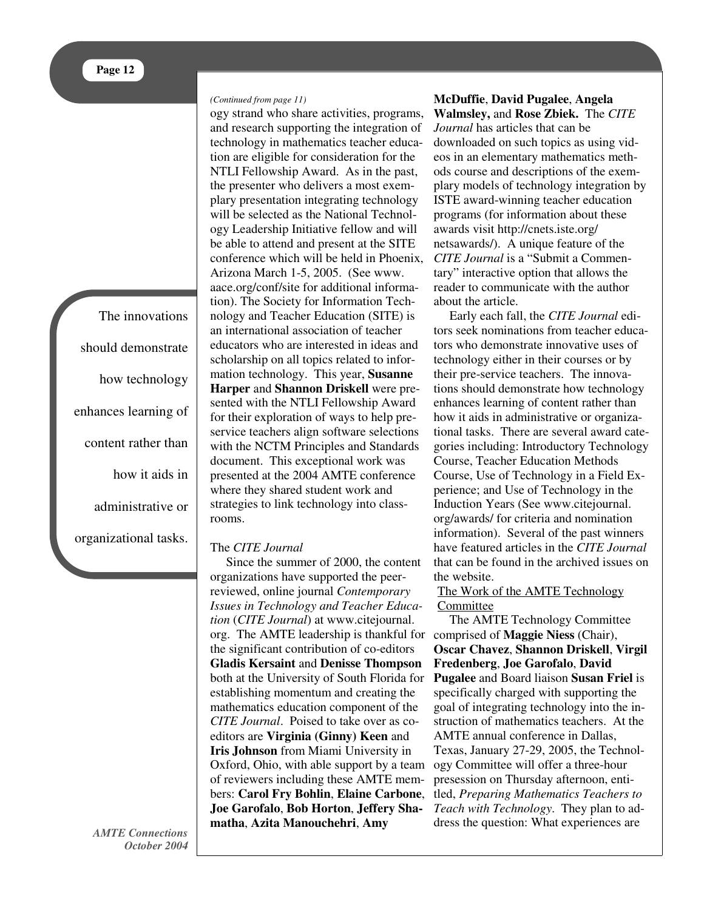The innovations should demonstrate how technology enhances learning of content rather than how it aids in administrative or organizational tasks.

> *AMTE Connections October 2004*

#### *(Continued from page 11)*

ogy strand who share activities, programs, and research supporting the integration of technology in mathematics teacher education are eligible for consideration for the NTLI Fellowship Award. As in the past, the presenter who delivers a most exemplary presentation integrating technology will be selected as the National Technology Leadership Initiative fellow and will be able to attend and present at the SITE conference which will be held in Phoenix, Arizona March 1-5, 2005. (See www. aace.org/conf/site for additional information). The Society for Information Technology and Teacher Education (SITE) is an international association of teacher educators who are interested in ideas and scholarship on all topics related to information technology. This year, **Susanne Harper** and **Shannon Driskell** were presented with the NTLI Fellowship Award for their exploration of ways to help preservice teachers align software selections with the NCTM Principles and Standards document. This exceptional work was presented at the 2004 AMTE conference where they shared student work and strategies to link technology into classrooms.

#### The *CITE Journal*

Since the summer of 2000, the content organizations have supported the peerreviewed, online journal *Contemporary Issues in Technology and Teacher Education* (*CITE Journal*) at www.citejournal. org. The AMTE leadership is thankful for comprised of **Maggie Niess** (Chair), the significant contribution of co-editors **Gladis Kersaint** and **Denisse Thompson** both at the University of South Florida for establishing momentum and creating the mathematics education component of the *CITE Journal*. Poised to take over as coeditors are **Virginia (Ginny) Keen** and **Iris Johnson** from Miami University in Oxford, Ohio, with able support by a team of reviewers including these AMTE members: **Carol Fry Bohlin**, **Elaine Carbone**, **Joe Garofalo**, **Bob Horton**, **Jeffery Shamatha**, **Azita Manouchehri**, **Amy**

**McDuffie**, **David Pugalee**, **Angela Walmsley,** and **Rose Zbiek.** The *CITE Journal* has articles that can be downloaded on such topics as using videos in an elementary mathematics methods course and descriptions of the exemplary models of technology integration by ISTE award-winning teacher education programs (for information about these awards visit http://cnets.iste.org/ netsawards/). A unique feature of the *CITE Journal* is a "Submit a Commentary" interactive option that allows the reader to communicate with the author about the article.

Early each fall, the *CITE Journal* editors seek nominations from teacher educators who demonstrate innovative uses of technology either in their courses or by their pre-service teachers. The innovations should demonstrate how technology enhances learning of content rather than how it aids in administrative or organizational tasks. There are several award categories including: Introductory Technology Course, Teacher Education Methods Course, Use of Technology in a Field Experience; and Use of Technology in the Induction Years (See www.citejournal. org/awards/ for criteria and nomination information). Several of the past winners have featured articles in the *CITE Journal* that can be found in the archived issues on the website.

#### The Work of the AMTE Technology Committee

The AMTE Technology Committee **Oscar Chavez**, **Shannon Driskell**, **Virgil Fredenberg**, **Joe Garofalo**, **David Pugalee** and Board liaison **Susan Friel** is specifically charged with supporting the goal of integrating technology into the instruction of mathematics teachers. At the AMTE annual conference in Dallas, Texas, January 27-29, 2005, the Technology Committee will offer a three-hour presession on Thursday afternoon, entitled, *Preparing Mathematics Teachers to Teach with Technology*. They plan to address the question: What experiences are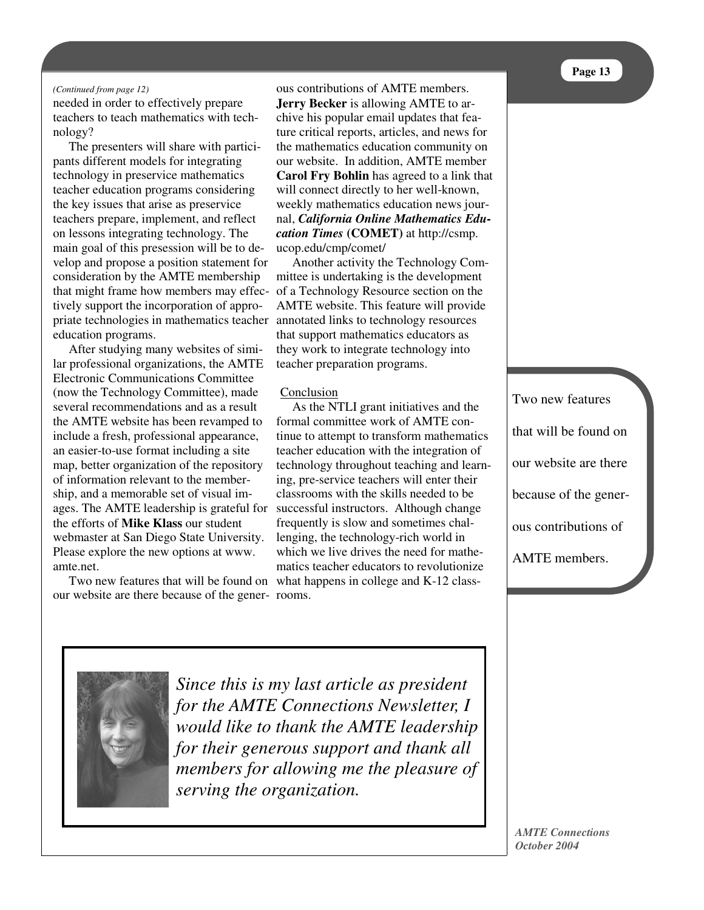#### *(Continued from page 12)*

needed in order to effectively prepare teachers to teach mathematics with technology?

The presenters will share with participants different models for integrating technology in preservice mathematics teacher education programs considering the key issues that arise as preservice teachers prepare, implement, and reflect on lessons integrating technology. The main goal of this presession will be to develop and propose a position statement for consideration by the AMTE membership that might frame how members may effectively support the incorporation of appropriate technologies in mathematics teacher annotated links to technology resources education programs.

After studying many websites of similar professional organizations, the AMTE Electronic Communications Committee (now the Technology Committee), made several recommendations and as a result the AMTE website has been revamped to include a fresh, professional appearance, an easier-to-use format including a site map, better organization of the repository of information relevant to the membership, and a memorable set of visual images. The AMTE leadership is grateful for successful instructors. Although change the efforts of **Mike Klass** our student webmaster at San Diego State University. Please explore the new options at www. amte.net.

our website are there because of the gener-rooms.

ous contributions of AMTE members. **Jerry Becker** is allowing AMTE to archive his popular email updates that feature critical reports, articles, and news for the mathematics education community on our website. In addition, AMTE member **Carol Fry Bohlin** has agreed to a link that will connect directly to her well-known, weekly mathematics education news journal, *California Online Mathematics Education Times* **(COMET)** at http://csmp. ucop.edu/cmp/comet/

Another activity the Technology Committee is undertaking is the development of a Technology Resource section on the AMTE website. This feature will provide that support mathematics educators as they work to integrate technology into teacher preparation programs.

#### **Conclusion**

Two new features that will be found on what happens in college and K-12 class-As the NTLI grant initiatives and the formal committee work of AMTE continue to attempt to transform mathematics teacher education with the integration of technology throughout teaching and learning, pre-service teachers will enter their classrooms with the skills needed to be frequently is slow and sometimes challenging, the technology-rich world in which we live drives the need for mathematics teacher educators to revolutionize

Two new features that will be found on our website are there because of the generous contributions of AMTE members.



*Since this is my last article as president for the AMTE Connections Newsletter, I would like to thank the AMTE leadership for their generous support and thank all members for allowing me the pleasure of serving the organization.*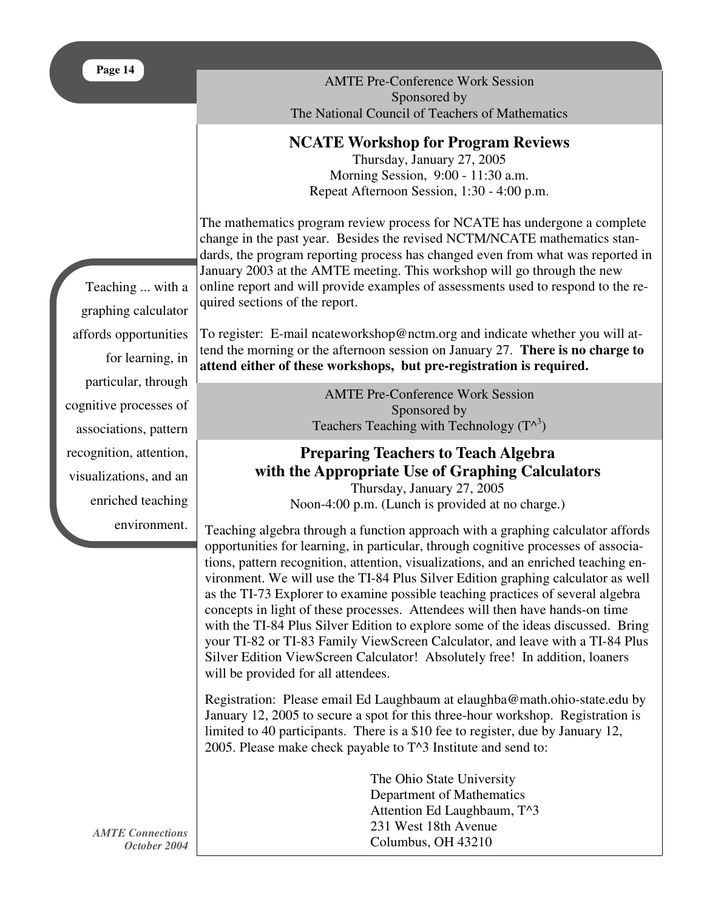AMTE Pre-Conference Work Session Sponsored by The National Council of Teachers of Mathematics

## **NCATE Workshop for Program Reviews**

Thursday, January 27, 2005 Morning Session, 9:00 - 11:30 a.m. Repeat Afternoon Session, 1:30 - 4:00 p.m.

The mathematics program review process for NCATE has undergone a complete change in the past year. Besides the revised NCTM/NCATE mathematics standards, the program reporting process has changed even from what was reported in January 2003 at the AMTE meeting. This workshop will go through the new online report and will provide examples of assessments used to respond to the required sections of the report.

To register: E-mail ncateworkshop@nctm.org and indicate whether you will attend the morning or the afternoon session on January 27. **There is no charge to attend either of these workshops, but pre-registration is required.**

> AMTE Pre-Conference Work Session Sponsored by Teachers Teaching with Technology  $(T^{\wedge^3})$

## **Preparing Teachers to Teach Algebra with the Appropriate Use of Graphing Calculators** Thursday, January 27, 2005

Noon-4:00 p.m. (Lunch is provided at no charge.)

Teaching algebra through a function approach with a graphing calculator affords opportunities for learning, in particular, through cognitive processes of associations, pattern recognition, attention, visualizations, and an enriched teaching environment. We will use the TI-84 Plus Silver Edition graphing calculator as well as the TI-73 Explorer to examine possible teaching practices of several algebra concepts in light of these processes. Attendees will then have hands-on time with the TI-84 Plus Silver Edition to explore some of the ideas discussed. Bring your TI-82 or TI-83 Family ViewScreen Calculator, and leave with a TI-84 Plus Silver Edition ViewScreen Calculator! Absolutely free! In addition, loaners will be provided for all attendees.

Registration: Please email Ed Laughbaum at elaughba@math.ohio-state.edu by January 12, 2005 to secure a spot for this three-hour workshop. Registration is limited to 40 participants. There is a \$10 fee to register, due by January 12, 2005. Please make check payable to T^3 Institute and send to:

> The Ohio State University Department of Mathematics Attention Ed Laughbaum, T^3 231 West 18th Avenue Columbus, OH 43210

Teaching ... with a graphing calculator affords opportunities for learning, in particular, through cognitive processes of associations, pattern recognition, attention, visualizations, and an enriched teaching environment.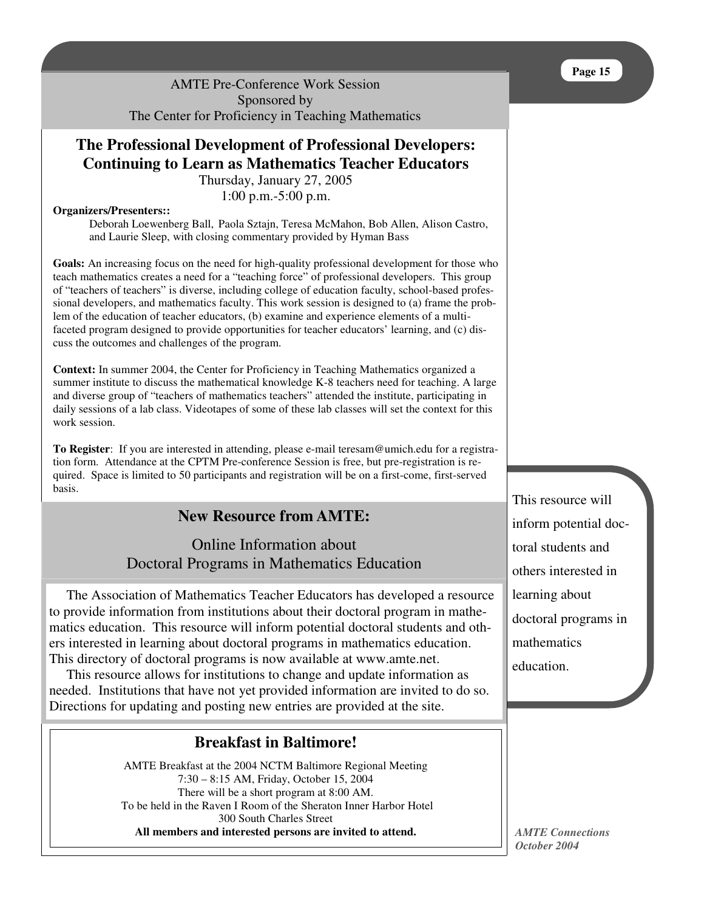AMTE Pre-Conference Work Session Sponsored by The Center for Proficiency in Teaching Mathematics

# **The Professional Development of Professional Developers: Continuing to Learn as Mathematics Teacher Educators**

Thursday, January 27, 2005 1:00 p.m.-5:00 p.m.

#### **Organizers/Presenters::**

Deborah Loewenberg Ball, Paola Sztajn, Teresa McMahon, Bob Allen, Alison Castro, and Laurie Sleep, with closing commentary provided by Hyman Bass

**Goals:** An increasing focus on the need for high-quality professional development for those who teach mathematics creates a need for a "teaching force" of professional developers. This group of "teachers of teachers" is diverse, including college of education faculty, school-based professional developers, and mathematics faculty. This work session is designed to (a) frame the problem of the education of teacher educators, (b) examine and experience elements of a multifaceted program designed to provide opportunities for teacher educators' learning, and (c) discuss the outcomes and challenges of the program.

**Context:** In summer 2004, the Center for Proficiency in Teaching Mathematics organized a summer institute to discuss the mathematical knowledge K-8 teachers need for teaching. A large and diverse group of "teachers of mathematics teachers" attended the institute, participating in daily sessions of a lab class. Videotapes of some of these lab classes will set the context for this work session.

**To Register**: If you are interested in attending, please e-mail teresam@umich.edu for a registration form. Attendance at the CPTM Pre-conference Session is free, but pre-registration is required. Space is limited to 50 participants and registration will be on a first-come, first-served basis.

## **New Resource from AMTE:**

Online Information about Doctoral Programs in Mathematics Education

The Association of Mathematics Teacher Educators has developed a resource to provide information from institutions about their doctoral program in mathematics education. This resource will inform potential doctoral students and others interested in learning about doctoral programs in mathematics education. This directory of doctoral programs is now available at www.amte.net.

This resource allows for institutions to change and update information as needed. Institutions that have not yet provided information are invited to do so. Directions for updating and posting new entries are provided at the site.

## **Breakfast in Baltimore!**

AMTE Breakfast at the 2004 NCTM Baltimore Regional Meeting 7:30 – 8:15 AM, Friday, October 15, 2004 There will be a short program at 8:00 AM. To be held in the Raven I Room of the Sheraton Inner Harbor Hotel 300 South Charles Street **All members and interested persons are invited to attend.**

This resource will inform potential doctoral students and others interested in learning about doctoral programs in mathematics education.